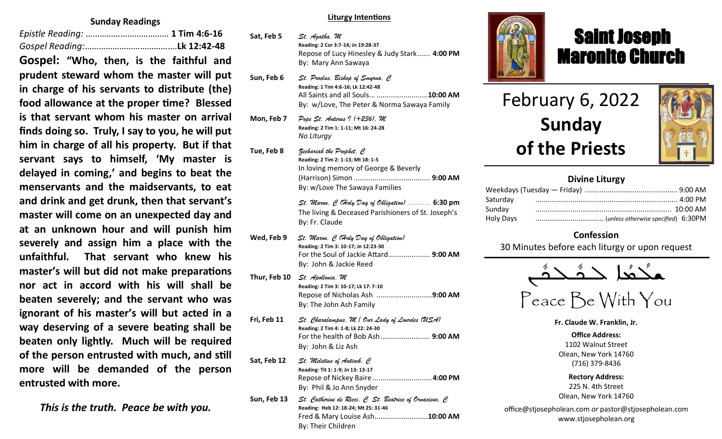## **Sunday Readings**

*Epistle Reading:* ……………………………… **1 Tim 4:6-16** *Gospel Reading:*………………………………….**Lk 12:42-48 Gospel: "Who, then, is the faithful and prudent steward whom the master will put in charge of his servants to distribute (the) food allowance at the proper time? Blessed is that servant whom his master on arrival finds doing so. Truly, I say to you, he will put him in charge of all his property. But if that servant says to himself, 'My master is delayed in coming,' and begins to beat the menservants and the maidservants, to eat and drink and get drunk, then that servant's master will come on an unexpected day and at an unknown hour and will punish him severely and assign him a place with the unfaithful. That servant who knew his master's will but did not make preparations nor act in accord with his will shall be beaten severely; and the servant who was ignorant of his master's will but acted in a way deserving of a severe beating shall be beaten only lightly. Much will be required of the person entrusted with much, and still more will be demanded of the person entrusted with more.**

*This is the truth. Peace be with you.*

#### **Liturgy Intentions**

- **Sat, Feb 5** *St. Agatha, M* **Reading: 2 Cor 3:7-14; Jn 19:28-37** Repose of Lucy Hinesley & Judy Stark ...... **4:00 PM** By: Mary Ann Sawaya
- **Sun, Feb 6** *St. Proclus, Bishop of Smyrna, C* **Reading: 1 Tim 4:6-16; Lk 12:42-48** All Saints and all Souls... .........................**10:00 AM** By: w/Love, The Peter & Norma Sawaya Family
- **Mon, Feb 7** *Pope St. Anterus I (+236), M* **Reading: 2 Tim 1: 1-11; Mt 16: 24-28** *No Liturgy*
- **Tue, Feb 8** *Zechariah the Prophet, C* **Reading: 2 Tim 2: 1-13; Mt 18: 1-5** In loving memory of George & Beverly (Harrison) Simon ..................................... **9:00 AM** By: w/Love The Sawaya Families

*St. Maron, C (Holy Day of Obligation) .........* **6:30 pm** The living & Deceased Parishioners of St. Joseph's By: Fr. Claude

- **Wed, Feb 9** *St. Maron, C (Holy Day of Obligation)* **Reading: 2 Tim 3: 10-17; Jn 12:23-30** For the Soul of Jackie Attard.................... **9:00 AM** By: John & Jackie Reed
- **Thur, Feb 10** *St. Apollonia, M* **Reading: 2 Tim 3: 10-17; Lk 17: 7-10** Repose of Nicholas Ash ...........................**9:00 AM**  By: The John Ash Family
- **Fri, Feb 11** *St. Charalampus, M / Our Lady of Lourdes (USA)* **Reading: 2 Tim 4: 1-8; Lk 22: 24-30** For the health of Bob Ash........................ **9:00 AM** By: John & Liz Ash **Sat, Feb 12** *St. Meletius of Antioch, C* **Reading: Tit 1: 1-9; Jn 13: 13-17** Repose of Nickey Baire.............................**4:00 PM**
- By: Phil & Jo Ann Snyder **Sun, Feb 13** *St. Catherine de Ricci, C St. Beatrice of Ornacieux, C* **Reading: Heb 12: 18-24; Mt 25: 31-46** Fred & Mary Louise Ash..........................**10:00 AM** By: Their Children



## Saint Joseph Maronite Church

# February 6, 2022 **Sunday of the Priests**

ī



## **Divine Liturgy**

| Saturday  |  |
|-----------|--|
| Sunday    |  |
| Holy Days |  |

## **Confession**

30 Minutes before each liturgy or upon request

ـܢ  $\frac{1}{2}$  $\sum^*$  $\frac{1}{2}$ |<br>| حدث  $\frac{1}{2}$ ـدهُد  $\frac{1}{\rho}$ ܫܠ

Peace Be With You

**Fr. Claude W. Franklin, Jr.**

**Office Address:** 1102 Walnut Street Olean, New York 14760 (716) 379-8436

**Rectory Address:** 225 N. 4th Street Olean, New York 14760

office@stjosepholean.com *or* pastor@stjosepholean.com www.stjosepholean.org